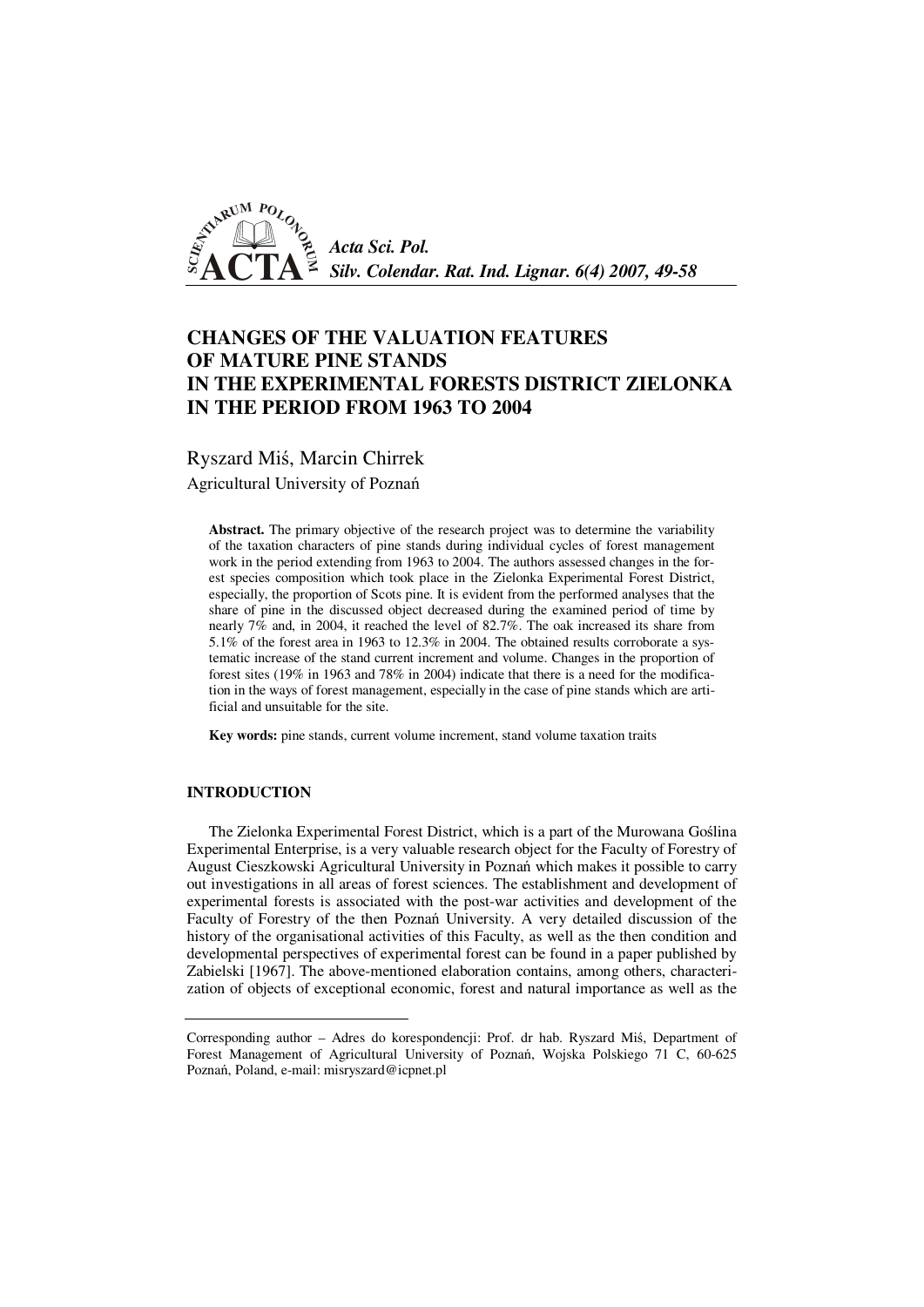

# **CHANGES OF THE VALUATION FEATURES OF MATURE PINE STANDS IN THE EXPERIMENTAL FORESTS DISTRICT ZIELONKA IN THE PERIOD FROM 1963 TO 2004**

Ryszard Miś, Marcin Chirrek

Agricultural University of Poznań

**Abstract.** The primary objective of the research project was to determine the variability of the taxation characters of pine stands during individual cycles of forest management work in the period extending from 1963 to 2004. The authors assessed changes in the forest species composition which took place in the Zielonka Experimental Forest District, especially, the proportion of Scots pine. It is evident from the performed analyses that the share of pine in the discussed object decreased during the examined period of time by nearly 7% and, in 2004, it reached the level of 82.7%. The oak increased its share from 5.1% of the forest area in 1963 to 12.3% in 2004. The obtained results corroborate a systematic increase of the stand current increment and volume. Changes in the proportion of forest sites (19% in 1963 and 78% in 2004) indicate that there is a need for the modification in the ways of forest management, especially in the case of pine stands which are artificial and unsuitable for the site.

**Key words:** pine stands, current volume increment, stand volume taxation traits

#### **INTRODUCTION**

The Zielonka Experimental Forest District, which is a part of the Murowana Goślina Experimental Enterprise, is a very valuable research object for the Faculty of Forestry of August Cieszkowski Agricultural University in Poznań which makes it possible to carry out investigations in all areas of forest sciences. The establishment and development of experimental forests is associated with the post-war activities and development of the Faculty of Forestry of the then Poznań University. A very detailed discussion of the history of the organisational activities of this Faculty, as well as the then condition and developmental perspectives of experimental forest can be found in a paper published by Zabielski [1967]. The above-mentioned elaboration contains, among others, characterization of objects of exceptional economic, forest and natural importance as well as the

Corresponding author – Adres do korespondencji: Prof. dr hab. Ryszard Miś, Department of Forest Management of Agricultural University of Poznań, Wojska Polskiego 71 C, 60-625 Poznań, Poland, e-mail: misryszard@icpnet.pl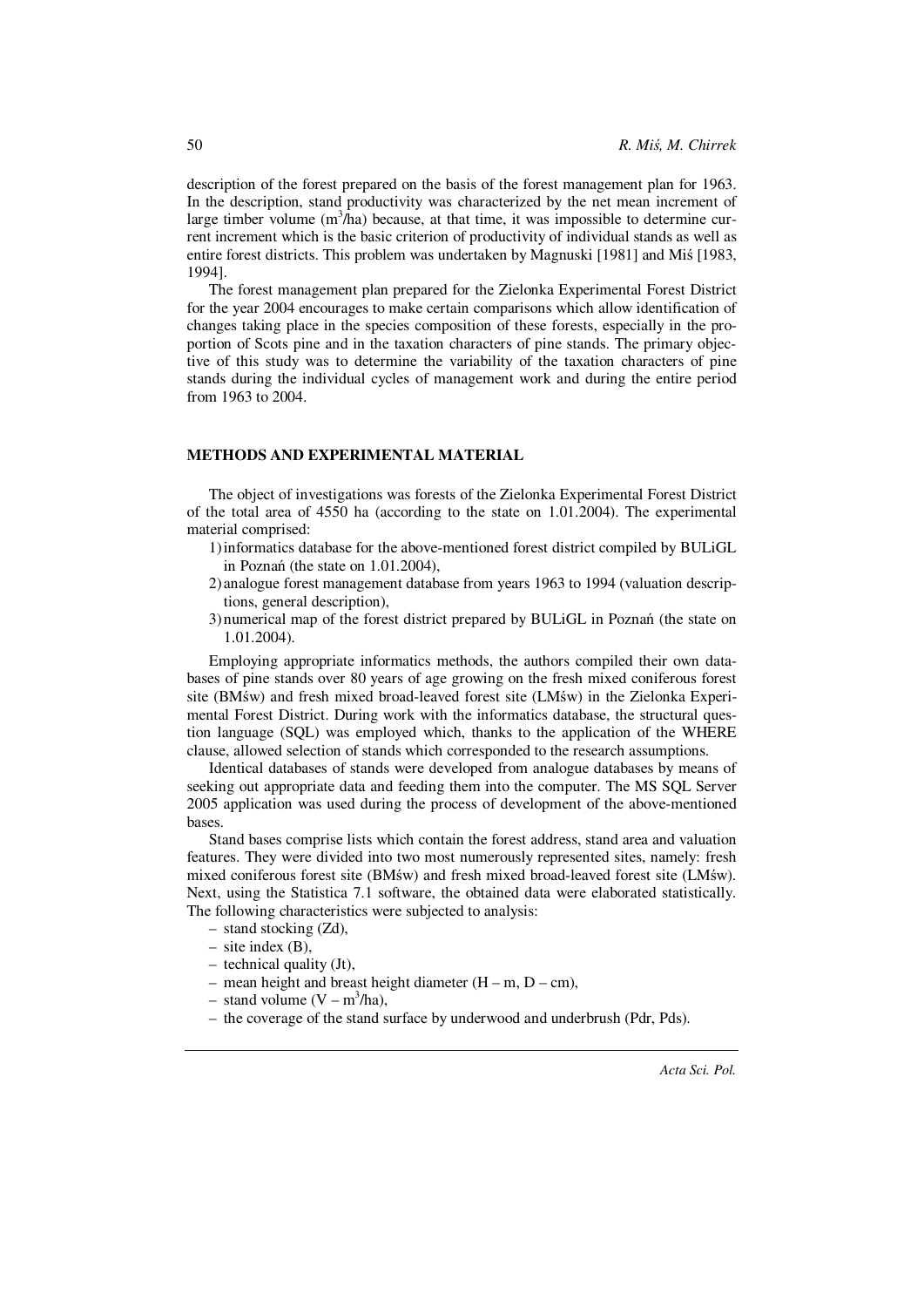description of the forest prepared on the basis of the forest management plan for 1963. In the description, stand productivity was characterized by the net mean increment of large timber volume  $(m^3/ha)$  because, at that time, it was impossible to determine current increment which is the basic criterion of productivity of individual stands as well as entire forest districts. This problem was undertaken by Magnuski [1981] and Miś [1983, 1994].

The forest management plan prepared for the Zielonka Experimental Forest District for the year 2004 encourages to make certain comparisons which allow identification of changes taking place in the species composition of these forests, especially in the proportion of Scots pine and in the taxation characters of pine stands. The primary objective of this study was to determine the variability of the taxation characters of pine stands during the individual cycles of management work and during the entire period from 1963 to 2004.

## **METHODS AND EXPERIMENTAL MATERIAL**

The object of investigations was forests of the Zielonka Experimental Forest District of the total area of 4550 ha (according to the state on 1.01.2004). The experimental material comprised:

- 1) informatics database for the above-mentioned forest district compiled by BULiGL in Poznań (the state on 1.01.2004),
- 2) analogue forest management database from years 1963 to 1994 (valuation descriptions, general description),
- 3) numerical map of the forest district prepared by BULiGL in Poznań (the state on 1.01.2004).

Employing appropriate informatics methods, the authors compiled their own databases of pine stands over 80 years of age growing on the fresh mixed coniferous forest site (BMśw) and fresh mixed broad-leaved forest site (LMśw) in the Zielonka Experimental Forest District. During work with the informatics database, the structural question language (SQL) was employed which, thanks to the application of the WHERE clause, allowed selection of stands which corresponded to the research assumptions.

Identical databases of stands were developed from analogue databases by means of seeking out appropriate data and feeding them into the computer. The MS SQL Server 2005 application was used during the process of development of the above-mentioned bases.

Stand bases comprise lists which contain the forest address, stand area and valuation features. They were divided into two most numerously represented sites, namely: fresh mixed coniferous forest site (BMśw) and fresh mixed broad-leaved forest site (LMśw). Next, using the Statistica 7.1 software, the obtained data were elaborated statistically. The following characteristics were subjected to analysis:

- stand stocking (Zd),
- $-$  site index  $(B)$ .
- technical quality (Jt),
- mean height and breast height diameter  $(H m, D cm)$ ,
- $-$  stand volume  $(V m^3/ha)$ ,
- the coverage of the stand surface by underwood and underbrush (Pdr, Pds).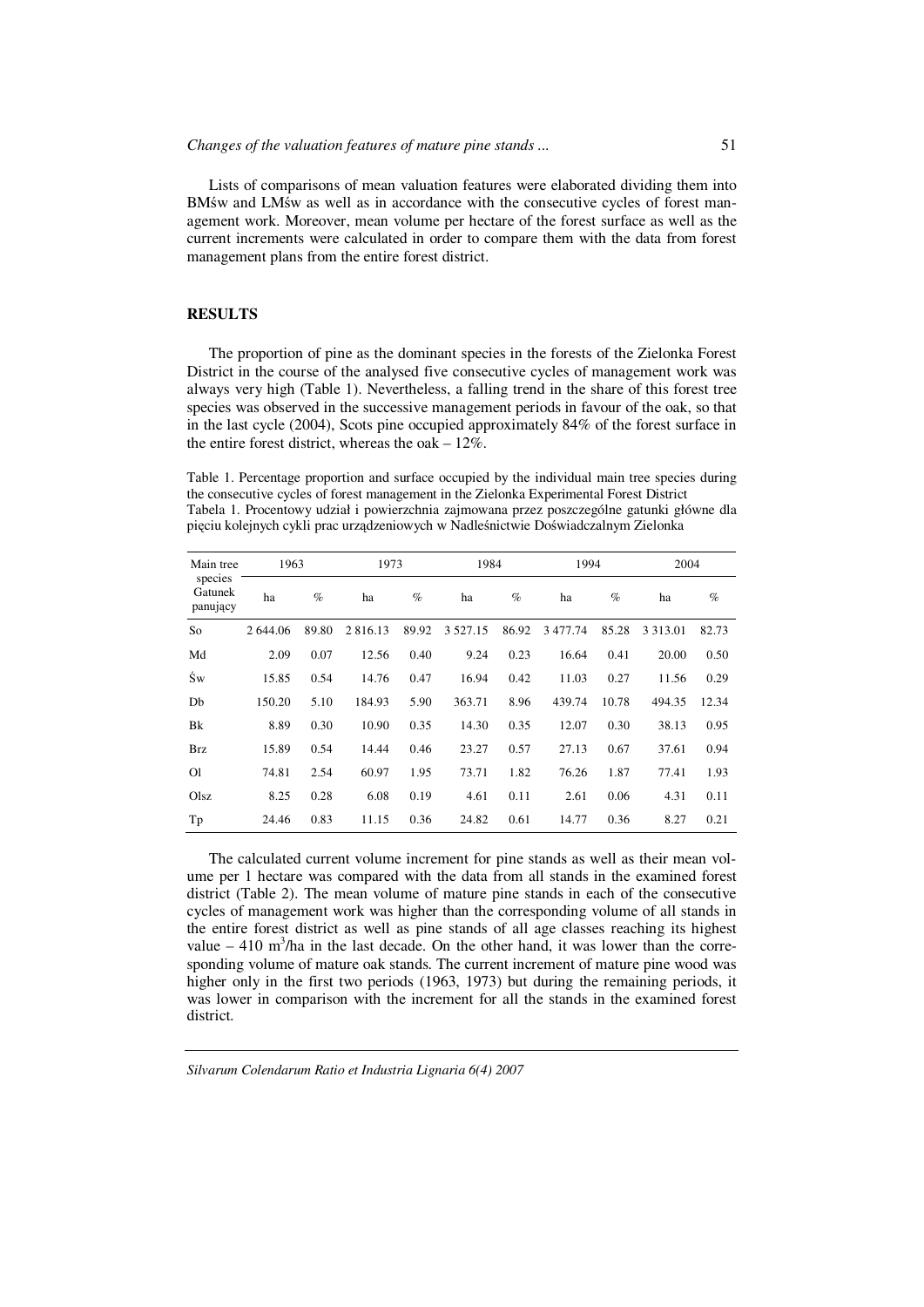Lists of comparisons of mean valuation features were elaborated dividing them into BMśw and LMśw as well as in accordance with the consecutive cycles of forest management work. Moreover, mean volume per hectare of the forest surface as well as the current increments were calculated in order to compare them with the data from forest management plans from the entire forest district.

## **RESULTS**

The proportion of pine as the dominant species in the forests of the Zielonka Forest District in the course of the analysed five consecutive cycles of management work was always very high (Table 1). Nevertheless, a falling trend in the share of this forest tree species was observed in the successive management periods in favour of the oak, so that in the last cycle (2004), Scots pine occupied approximately 84% of the forest surface in the entire forest district, whereas the oak – 12%.

Table 1. Percentage proportion and surface occupied by the individual main tree species during the consecutive cycles of forest management in the Zielonka Experimental Forest District Tabela 1. Procentowy udział i powierzchnia zajmowana przez poszczególne gatunki główne dla pięciu kolejnych cykli prac urządzeniowych w Nadleśnictwie Doświadczalnym Zielonka

| Main tree                      | 1963     |       | 1973          |       | 1984          |       | 1994    |       | 2004        |       |
|--------------------------------|----------|-------|---------------|-------|---------------|-------|---------|-------|-------------|-------|
| species<br>Gatunek<br>panujący | ha       | $\%$  | ha            | $\%$  | ha            | $\%$  | ha      | $\%$  | ha          | $\%$  |
| So                             | 2 644.06 | 89.80 | 2 8 1 6 . 1 3 | 89.92 | 3 5 2 7 . 1 5 | 86.92 | 3477.74 | 85.28 | 3 3 1 3 .01 | 82.73 |
| Md                             | 2.09     | 0.07  | 12.56         | 0.40  | 9.24          | 0.23  | 16.64   | 0.41  | 20.00       | 0.50  |
| Św                             | 15.85    | 0.54  | 14.76         | 0.47  | 16.94         | 0.42  | 11.03   | 0.27  | 11.56       | 0.29  |
| Db                             | 150.20   | 5.10  | 184.93        | 5.90  | 363.71        | 8.96  | 439.74  | 10.78 | 494.35      | 12.34 |
| Bk                             | 8.89     | 0.30  | 10.90         | 0.35  | 14.30         | 0.35  | 12.07   | 0.30  | 38.13       | 0.95  |
| <b>Brz</b>                     | 15.89    | 0.54  | 14.44         | 0.46  | 23.27         | 0.57  | 27.13   | 0.67  | 37.61       | 0.94  |
| O <sub>1</sub>                 | 74.81    | 2.54  | 60.97         | 1.95  | 73.71         | 1.82  | 76.26   | 1.87  | 77.41       | 1.93  |
| Olsz                           | 8.25     | 0.28  | 6.08          | 0.19  | 4.61          | 0.11  | 2.61    | 0.06  | 4.31        | 0.11  |
| Tp                             | 24.46    | 0.83  | 11.15         | 0.36  | 24.82         | 0.61  | 14.77   | 0.36  | 8.27        | 0.21  |

The calculated current volume increment for pine stands as well as their mean volume per 1 hectare was compared with the data from all stands in the examined forest district (Table 2). The mean volume of mature pine stands in each of the consecutive cycles of management work was higher than the corresponding volume of all stands in the entire forest district as well as pine stands of all age classes reaching its highest value  $-410 \text{ m}^3$ /ha in the last decade. On the other hand, it was lower than the corresponding volume of mature oak stands. The current increment of mature pine wood was higher only in the first two periods (1963, 1973) but during the remaining periods, it was lower in comparison with the increment for all the stands in the examined forest district.

*Silvarum Colendarum Ratio et Industria Lignaria 6(4) 2007*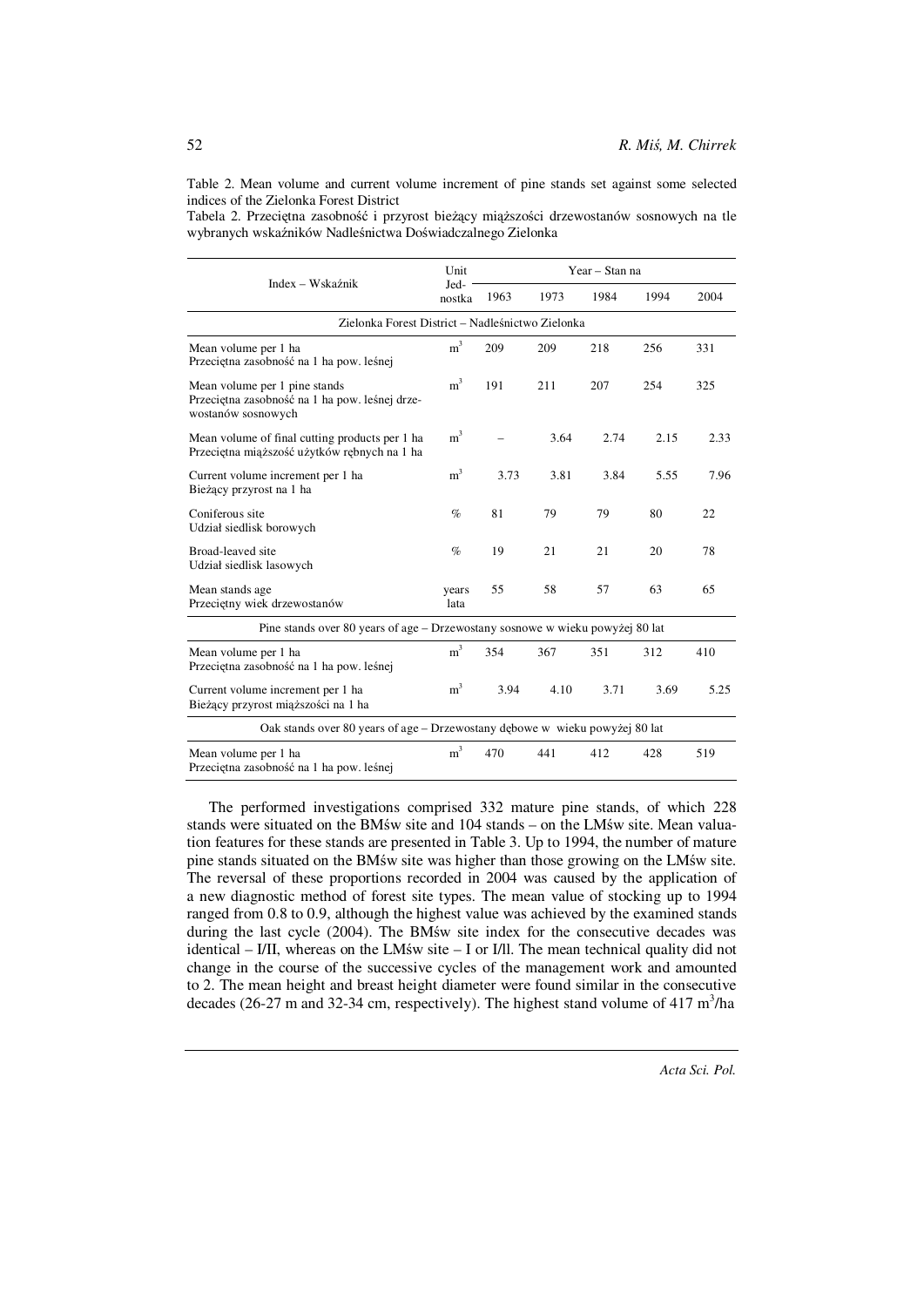Table 2. Mean volume and current volume increment of pine stands set against some selected indices of the Zielonka Forest District

Tabela 2. Przeciętna zasobność i przyrost bieżący miąższości drzewostanów sosnowych na tle wybranych wskaźników Nadleśnictwa Doświadczalnego Zielonka

|                                                                                                       | Unit           | Year - Stan na |      |      |      |      |  |  |  |
|-------------------------------------------------------------------------------------------------------|----------------|----------------|------|------|------|------|--|--|--|
| Index – Wskaźnik                                                                                      | Jed-<br>nostka | 1963           | 1973 | 1984 | 1994 | 2004 |  |  |  |
| Zielonka Forest District – Nadleśnictwo Zielonka                                                      |                |                |      |      |      |      |  |  |  |
| Mean volume per 1 ha<br>Przeciętna zasobność na 1 ha pow. leśnej                                      | m <sup>3</sup> | 209            | 209  | 218  | 256  | 331  |  |  |  |
| Mean volume per 1 pine stands<br>Przeciętna zasobność na 1 ha pow. leśnej drze-<br>wostanów sosnowych | m <sup>3</sup> | 191            | 211  | 207  | 254  | 325  |  |  |  |
| Mean volume of final cutting products per 1 has<br>Przeciętna miąższość użytków rębnych na 1 ha       | m <sup>3</sup> |                | 3.64 | 2.74 | 2.15 | 2.33 |  |  |  |
| Current volume increment per 1 ha<br>Bieżący przyrost na 1 ha                                         | m <sup>3</sup> | 3.73           | 3.81 | 3.84 | 5.55 | 7.96 |  |  |  |
| Coniferous site<br>Udział siedlisk borowych                                                           | $\%$           | 81             | 79   | 79   | 80   | 22   |  |  |  |
| Broad-leaved site<br>Udział siedlisk lasowych                                                         | $\%$           | 19             | 21   | 21   | 20   | 78   |  |  |  |
| Mean stands age<br>Przeciętny wiek drzewostanów                                                       | years<br>lata  | 55             | 58   | 57   | 63   | 65   |  |  |  |
| Pine stands over 80 years of age – Drzewostany sosnowe w wieku powyżej 80 lat                         |                |                |      |      |      |      |  |  |  |
| Mean volume per 1 ha<br>Przeciętna zasobność na 1 ha pow. leśnej                                      | m <sup>3</sup> | 354            | 367  | 351  | 312  | 410  |  |  |  |
| Current volume increment per 1 ha<br>Bieżący przyrost miąższości na 1 ha                              | m <sup>3</sup> | 3.94           | 4.10 | 3.71 | 3.69 | 5.25 |  |  |  |
| Oak stands over 80 years of age – Drzewostany dębowe w wieku powyżej 80 lat                           |                |                |      |      |      |      |  |  |  |
| Mean volume per 1 ha<br>Przeciętna zasobność na 1 ha pow. leśnej                                      | m <sup>3</sup> | 470            | 441  | 412  | 428  | 519  |  |  |  |

The performed investigations comprised 332 mature pine stands, of which 228 stands were situated on the BMśw site and 104 stands – on the LMśw site. Mean valuation features for these stands are presented in Table 3. Up to 1994, the number of mature pine stands situated on the BMśw site was higher than those growing on the LMśw site. The reversal of these proportions recorded in 2004 was caused by the application of a new diagnostic method of forest site types. The mean value of stocking up to 1994 ranged from 0.8 to 0.9, although the highest value was achieved by the examined stands during the last cycle (2004). The BMśw site index for the consecutive decades was identical – I/II, whereas on the LMśw site – I or I/ll. The mean technical quality did not change in the course of the successive cycles of the management work and amounted to 2. The mean height and breast height diameter were found similar in the consecutive decades (26-27 m and 32-34 cm, respectively). The highest stand volume of 417 m<sup>3</sup>/ha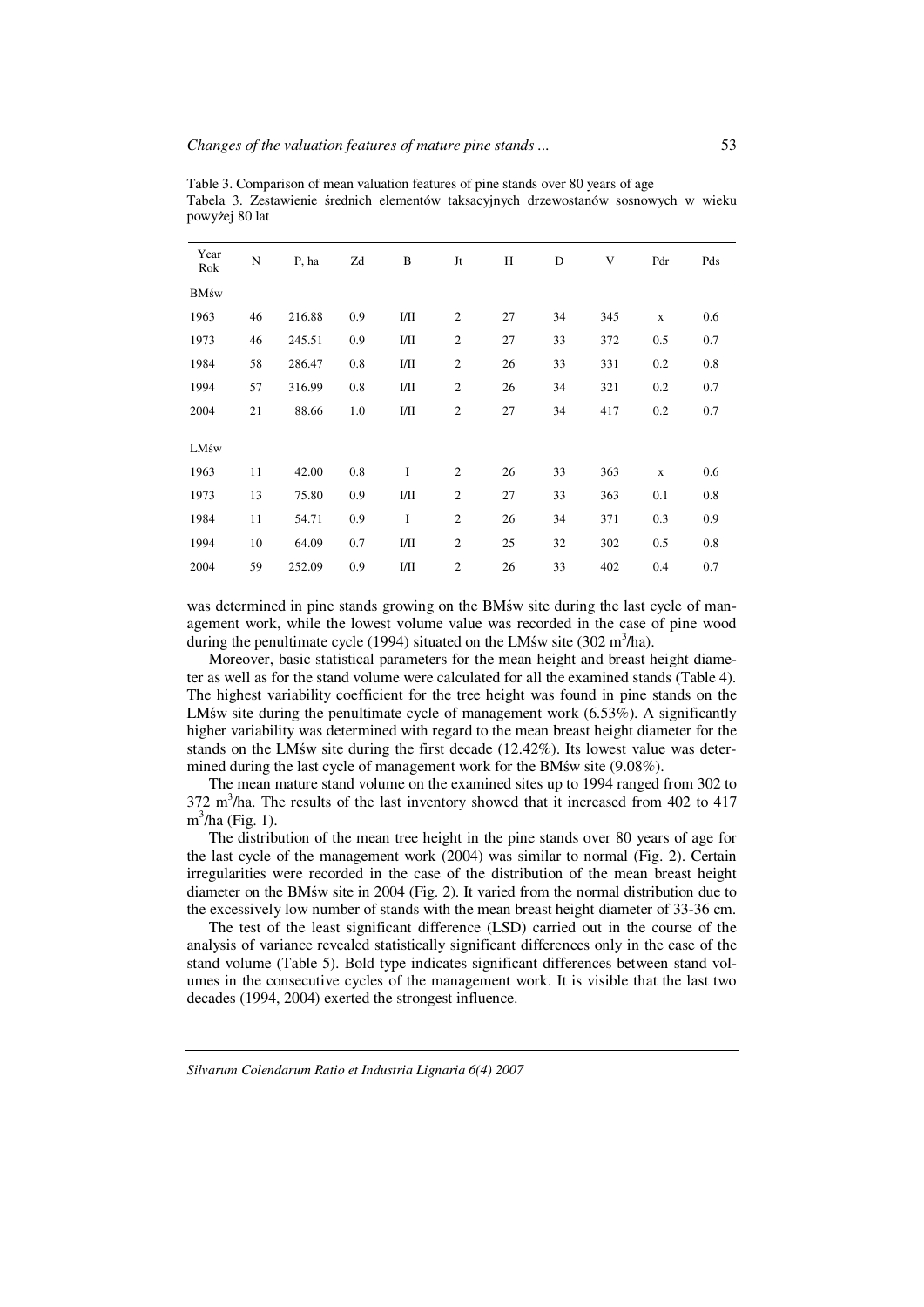| Year<br>Rok  | $\mathbf N$ | P, ha  | Zd  | B        | Jt             | Н  | D  | V   | Pdr         | Pds |
|--------------|-------------|--------|-----|----------|----------------|----|----|-----|-------------|-----|
| <b>BM</b> św |             |        |     |          |                |    |    |     |             |     |
| 1963         | 46          | 216.88 | 0.9 | I/II     | $\overline{c}$ | 27 | 34 | 345 | $\mathbf X$ | 0.6 |
| 1973         | 46          | 245.51 | 0.9 | I/II     | $\sqrt{2}$     | 27 | 33 | 372 | 0.5         | 0.7 |
| 1984         | 58          | 286.47 | 0.8 | I/II     | $\overline{c}$ | 26 | 33 | 331 | 0.2         | 0.8 |
| 1994         | 57          | 316.99 | 0.8 | I/II     | $\overline{c}$ | 26 | 34 | 321 | 0.2         | 0.7 |
| 2004         | 21          | 88.66  | 1.0 | I/II     | $\overline{c}$ | 27 | 34 | 417 | 0.2         | 0.7 |
| LMśw         |             |        |     |          |                |    |    |     |             |     |
| 1963         | 11          | 42.00  | 0.8 | $\bf{I}$ | 2              | 26 | 33 | 363 | $\mathbf x$ | 0.6 |
| 1973         | 13          | 75.80  | 0.9 | I/II     | $\overline{c}$ | 27 | 33 | 363 | 0.1         | 0.8 |
| 1984         | 11          | 54.71  | 0.9 | I        | $\overline{c}$ | 26 | 34 | 371 | 0.3         | 0.9 |
| 1994         | 10          | 64.09  | 0.7 | I/II     | 2              | 25 | 32 | 302 | 0.5         | 0.8 |
| 2004         | 59          | 252.09 | 0.9 | I/II     | $\overline{c}$ | 26 | 33 | 402 | 0.4         | 0.7 |

Table 3. Comparison of mean valuation features of pine stands over 80 years of age Tabela 3. Zestawienie średnich elementów taksacyjnych drzewostanów sosnowych w wieku powyżej 80 lat

was determined in pine stands growing on the BMśw site during the last cycle of management work, while the lowest volume value was recorded in the case of pine wood during the penultimate cycle (1994) situated on the LMśw site (302 m<sup>3</sup>/ha).

Moreover, basic statistical parameters for the mean height and breast height diameter as well as for the stand volume were calculated for all the examined stands (Table 4). The highest variability coefficient for the tree height was found in pine stands on the LM's site during the penultimate cycle of management work (6.53%). A significantly higher variability was determined with regard to the mean breast height diameter for the stands on the LMśw site during the first decade (12.42%). Its lowest value was determined during the last cycle of management work for the BMśw site (9.08%).

The mean mature stand volume on the examined sites up to 1994 ranged from 302 to  $372 \text{ m}^3/\text{ha}$ . The results of the last inventory showed that it increased from 402 to 417 m<sup>3</sup>/ha (Fig. 1).

The distribution of the mean tree height in the pine stands over 80 years of age for the last cycle of the management work (2004) was similar to normal (Fig. 2). Certain irregularities were recorded in the case of the distribution of the mean breast height diameter on the BMśw site in 2004 (Fig. 2). It varied from the normal distribution due to the excessively low number of stands with the mean breast height diameter of 33-36 cm.

The test of the least significant difference (LSD) carried out in the course of the analysis of variance revealed statistically significant differences only in the case of the stand volume (Table 5). Bold type indicates significant differences between stand volumes in the consecutive cycles of the management work. It is visible that the last two decades (1994, 2004) exerted the strongest influence.

*Silvarum Colendarum Ratio et Industria Lignaria 6(4) 2007*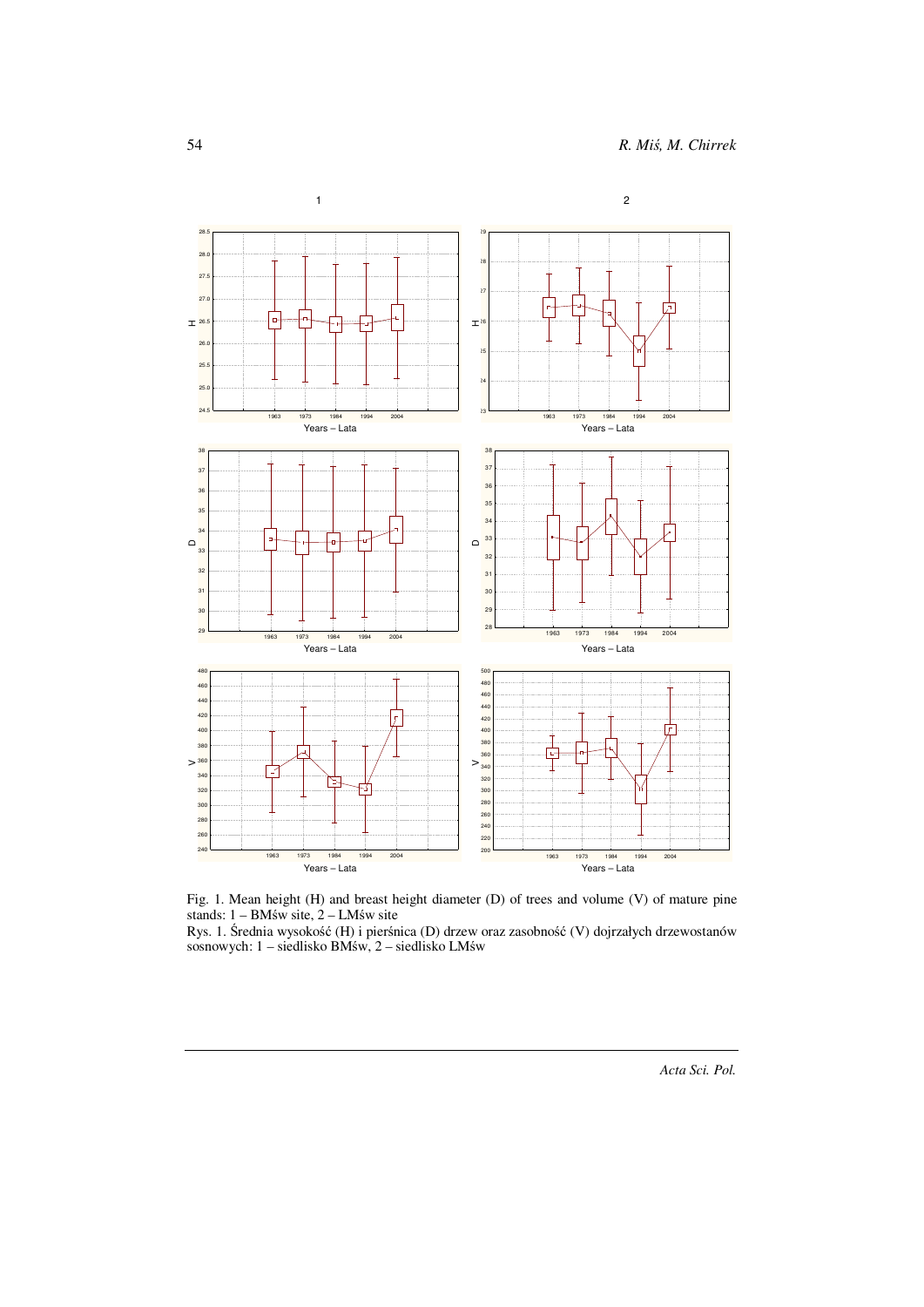

Fig. 1. Mean height (H) and breast height diameter (D) of trees and volume (V) of mature pine stands: 1 – BMśw site, 2 – LMśw site

Rys. 1. Średnia wysokość (H) i pierśnica (D) drzew oraz zasobność (V) dojrzałych drzewostanów sosnowych: 1 – siedlisko BMśw, 2 – siedlisko LMśw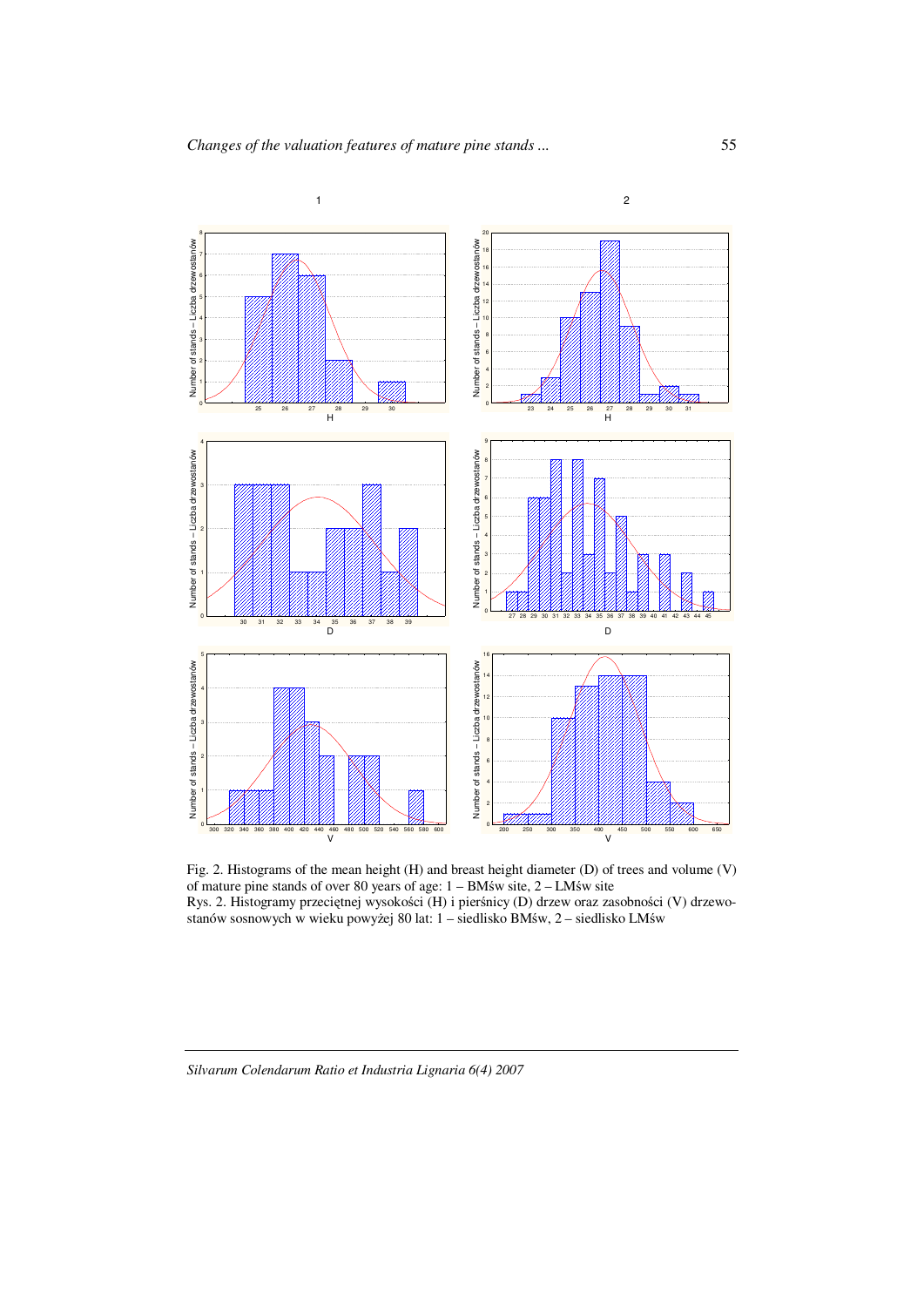

Fig. 2. Histograms of the mean height (H) and breast height diameter (D) of trees and volume (V) of mature pine stands of over 80 years of age: 1 – BMśw site, 2 – LMśw site Rys. 2. Histogramy przeciętnej wysokości (H) i pierśnicy (D) drzew oraz zasobności (V) drzewostanów sosnowych w wieku powyżej 80 lat: 1 – siedlisko BMśw, 2 – siedlisko LMśw

*Silvarum Colendarum Ratio et Industria Lignaria 6(4) 2007*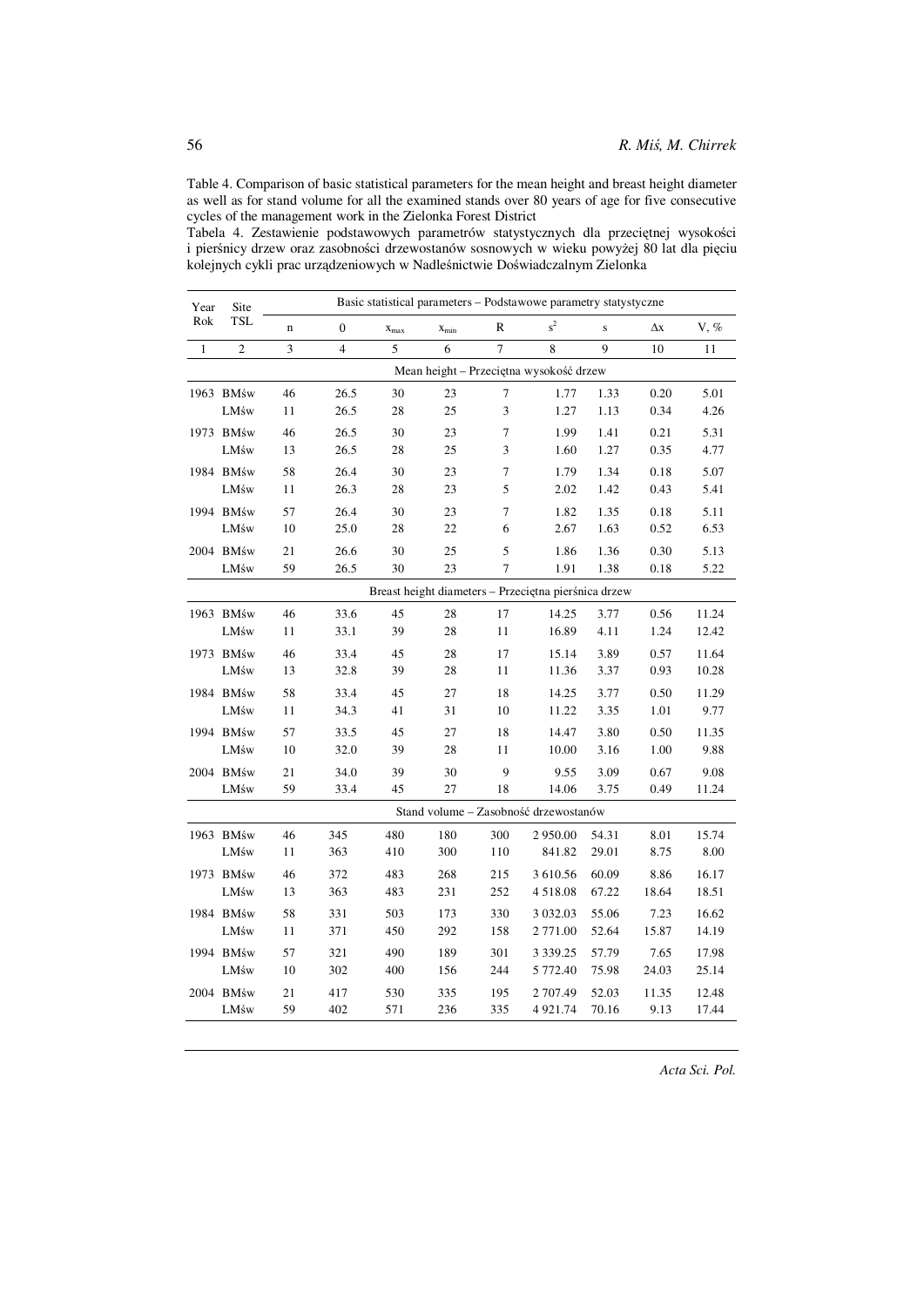Table 4. Comparison of basic statistical parameters for the mean height and breast height diameter as well as for stand volume for all the examined stands over 80 years of age for five consecutive cycles of the management work in the Zielonka Forest District

Tabela 4. Zestawienie podstawowych parametrów statystycznych dla przeciętnej wysokości i pierśnicy drzew oraz zasobności drzewostanów sosnowych w wieku powyżej 80 lat dla pięciu kolejnych cykli prac urządzeniowych w Nadleśnictwie Doświadczalnym Zielonka

| Year         | Site<br><b>TSL</b>                      | Basic statistical parameters - Podstawowe parametry statystyczne |                         |           |           |                |                                                      |       |       |         |  |  |
|--------------|-----------------------------------------|------------------------------------------------------------------|-------------------------|-----------|-----------|----------------|------------------------------------------------------|-------|-------|---------|--|--|
| Rok          |                                         | $\mathbf n$                                                      | $\mathbf{0}$            | $X_{max}$ | $X_{min}$ | R              | $s^2$                                                | S     | Δх    | $V, \%$ |  |  |
| $\mathbf{1}$ | $\overline{2}$                          | 3                                                                | $\overline{\mathbf{4}}$ | 5         | 6         | $\overline{7}$ | 8                                                    | 9     | 10    | 11      |  |  |
|              | Mean height - Przeciętna wysokość drzew |                                                                  |                         |           |           |                |                                                      |       |       |         |  |  |
|              | 1963 BMśw                               | 46                                                               | 26.5                    | 30        | 23        | 7              | 1.77                                                 | 1.33  | 0.20  | 5.01    |  |  |
|              | LMśw                                    | 11                                                               | 26.5                    | 28        | 25        | 3              | 1.27                                                 | 1.13  | 0.34  | 4.26    |  |  |
|              | 1973 BMśw                               | 46                                                               | 26.5                    | 30        | 23        | 7              | 1.99                                                 | 1.41  | 0.21  | 5.31    |  |  |
|              | LMśw                                    | 13                                                               | 26.5                    | 28        | 25        | 3              | 1.60                                                 | 1.27  | 0.35  | 4.77    |  |  |
|              | 1984 BMśw                               | 58                                                               | 26.4                    | 30        | 23        | 7              | 1.79                                                 | 1.34  | 0.18  | 5.07    |  |  |
|              | LMśw                                    | 11                                                               | 26.3                    | 28        | 23        | 5              | 2.02                                                 | 1.42  | 0.43  | 5.41    |  |  |
|              | 1994 BMśw                               | 57                                                               | 26.4                    | 30        | 23        | 7              | 1.82                                                 | 1.35  | 0.18  | 5.11    |  |  |
|              | LMśw                                    | 10                                                               | 25.0                    | 28        | 22        | 6              | 2.67                                                 | 1.63  | 0.52  | 6.53    |  |  |
|              | 2004 BMśw                               | 21                                                               | 26.6                    | 30        | 25        | 5              | 1.86                                                 | 1.36  | 0.30  | 5.13    |  |  |
|              | LMśw                                    | 59                                                               | 26.5                    | 30        | 23        | 7              | 1.91                                                 | 1.38  | 0.18  | 5.22    |  |  |
|              |                                         |                                                                  |                         |           |           |                | Breast height diameters - Przeciętna pierśnica drzew |       |       |         |  |  |
|              | 1963 BMśw                               | 46                                                               | 33.6                    | 45        | 28        | 17             | 14.25                                                | 3.77  | 0.56  | 11.24   |  |  |
|              | LMśw                                    | 11                                                               | 33.1                    | 39        | 28        | 11             | 16.89                                                | 4.11  | 1.24  | 12.42   |  |  |
|              | 1973 BMśw                               | 46                                                               | 33.4                    | 45        | 28        | 17             | 15.14                                                | 3.89  | 0.57  | 11.64   |  |  |
|              | LMśw                                    | 13                                                               | 32.8                    | 39        | 28        | 11             | 11.36                                                | 3.37  | 0.93  | 10.28   |  |  |
|              | 1984 BMśw                               | 58                                                               | 33.4                    | 45        | 27        | 18             | 14.25                                                | 3.77  | 0.50  | 11.29   |  |  |
|              | LMśw                                    | 11                                                               | 34.3                    | 41        | 31        | 10             | 11.22                                                | 3.35  | 1.01  | 9.77    |  |  |
|              | 1994 BMśw                               | 57                                                               | 33.5                    | 45        | 27        | 18             | 14.47                                                | 3.80  | 0.50  | 11.35   |  |  |
|              | LMśw                                    | 10                                                               | 32.0                    | 39        | 28        | 11             | 10.00                                                | 3.16  | 1.00  | 9.88    |  |  |
|              | 2004 BMśw                               | 21                                                               | 34.0                    | 39        | 30        | 9              | 9.55                                                 | 3.09  | 0.67  | 9.08    |  |  |
|              | LMśw                                    | 59                                                               | 33.4                    | 45        | 27        | 18             | 14.06                                                | 3.75  | 0.49  | 11.24   |  |  |
|              |                                         |                                                                  |                         |           |           |                | Stand volume - Zasobność drzewostanów                |       |       |         |  |  |
|              | 1963 BMśw                               | 46                                                               | 345                     | 480       | 180       | 300            | 2 950.00                                             | 54.31 | 8.01  | 15.74   |  |  |
|              | LMśw                                    | 11                                                               | 363                     | 410       | 300       | 110            | 841.82                                               | 29.01 | 8.75  | 8.00    |  |  |
|              | 1973 BMśw                               | 46                                                               | 372                     | 483       | 268       | 215            | 3 610.56                                             | 60.09 | 8.86  | 16.17   |  |  |
|              | LMśw                                    | 13                                                               | 363                     | 483       | 231       | 252            | 4 5 1 8 . 0 8                                        | 67.22 | 18.64 | 18.51   |  |  |
|              | 1984 BMśw                               | 58                                                               | 331                     | 503       | 173       | 330            | 3 0 3 2 . 0 3                                        | 55.06 | 7.23  | 16.62   |  |  |
|              | LMśw                                    | 11                                                               | 371                     | 450       | 292       | 158            | 2 771.00                                             | 52.64 | 15.87 | 14.19   |  |  |
|              | 1994 BMśw                               | 57                                                               | 321                     | 490       | 189       | 301            | 3 3 3 9 . 2 5                                        | 57.79 | 7.65  | 17.98   |  |  |
|              | LMśw                                    | 10                                                               | 302                     | 400       | 156       | 244            | 5 772.40                                             | 75.98 | 24.03 | 25.14   |  |  |
|              | 2004 BMśw                               | 21                                                               | 417                     | 530       | 335       | 195            | 2 707.49                                             | 52.03 | 11.35 | 12.48   |  |  |
|              | LMśw                                    | 59                                                               | 402                     | 571       | 236       | 335            | 4 921.74                                             | 70.16 | 9.13  | 17.44   |  |  |

*Acta Sci. Pol.*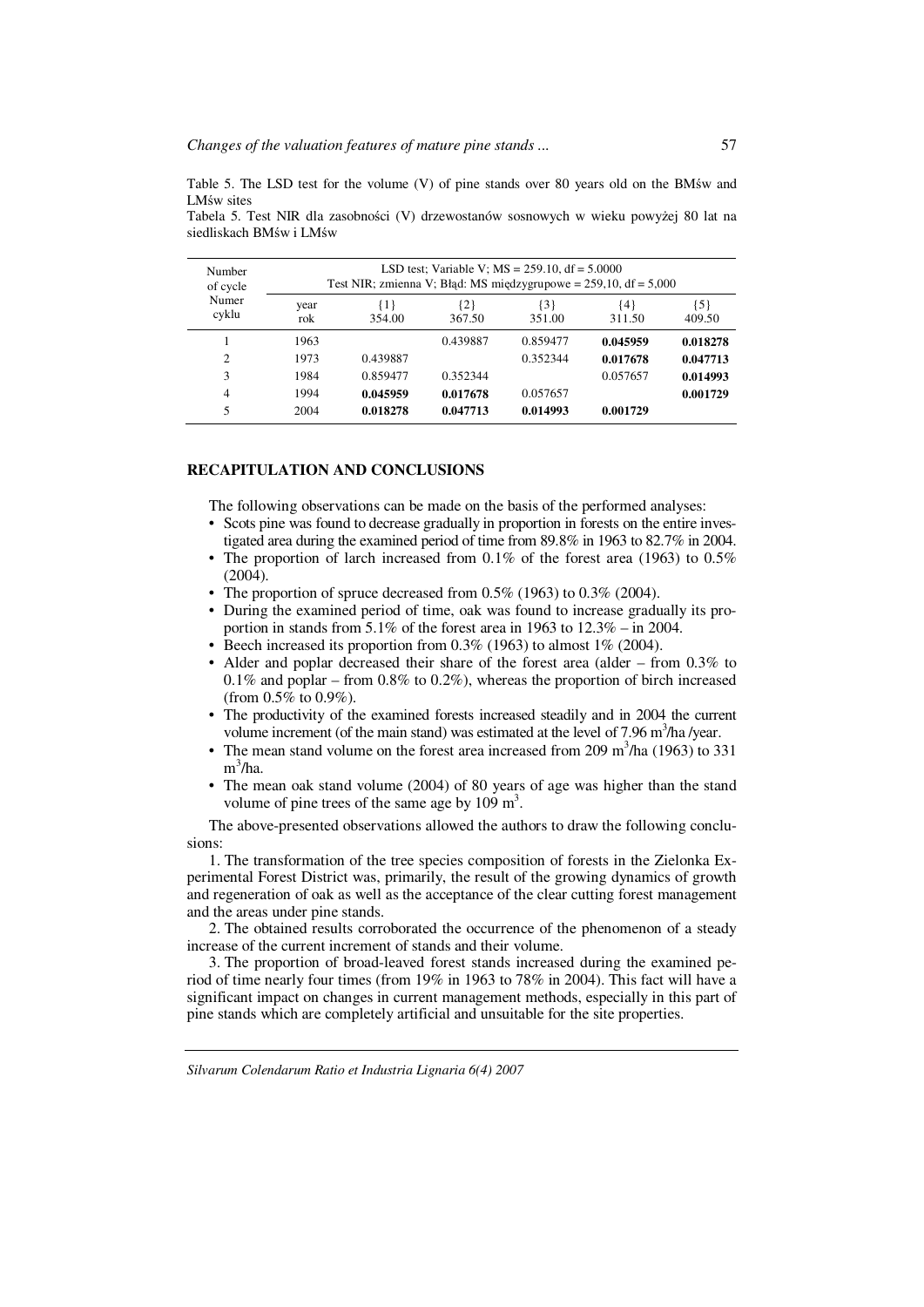Table 5. The LSD test for the volume (V) of pine stands over 80 years old on the BMśw and LMśw sites

| Number<br>of cycle |             | Test NIR; zmienna V; Błąd: MS międzygrupowe = $259,10$ , df = $5,000$ |               | LSD test; Variable V; $MS = 259.10$ , df = 5.0000 |               |                 |
|--------------------|-------------|-----------------------------------------------------------------------|---------------|---------------------------------------------------|---------------|-----------------|
| Numer<br>cyklu     | year<br>rok | {1}<br>354.00                                                         | {2}<br>367.50 | {3}<br>351.00                                     | {4}<br>311.50 | ${5}$<br>409.50 |
|                    | 1963        |                                                                       | 0.439887      | 0.859477                                          | 0.045959      | 0.018278        |
| $\overline{c}$     | 1973        | 0.439887                                                              |               | 0.352344                                          | 0.017678      | 0.047713        |
| 3                  | 1984        | 0.859477                                                              | 0.352344      |                                                   | 0.057657      | 0.014993        |
| $\overline{4}$     | 1994        | 0.045959                                                              | 0.017678      | 0.057657                                          |               | 0.001729        |
| 5                  | 2004        | 0.018278                                                              | 0.047713      | 0.014993                                          | 0.001729      |                 |

Tabela 5. Test NIR dla zasobności (V) drzewostanów sosnowych w wieku powyżej 80 lat na siedliskach BMśw i LMśw

## **RECAPITULATION AND CONCLUSIONS**

The following observations can be made on the basis of the performed analyses:

- Scots pine was found to decrease gradually in proportion in forests on the entire investigated area during the examined period of time from 89.8% in 1963 to 82.7% in 2004.
- The proportion of larch increased from  $0.1\%$  of the forest area (1963) to  $0.5\%$ (2004).
- The proportion of spruce decreased from  $0.5\%$  (1963) to  $0.3\%$  (2004).
- During the examined period of time, oak was found to increase gradually its proportion in stands from 5.1% of the forest area in 1963 to 12.3% – in 2004.
- Beech increased its proportion from  $0.3\%$  (1963) to almost 1% (2004).
- Alder and poplar decreased their share of the forest area (alder from 0.3% to  $0.1\%$  and poplar – from  $0.8\%$  to  $0.2\%$ ), whereas the proportion of birch increased (from 0.5% to 0.9%).
- The productivity of the examined forests increased steadily and in 2004 the current volume increment (of the main stand) was estimated at the level of 7.96 m<sup>3</sup>/ha /year.
- The mean stand volume on the forest area increased from 209  $\text{m}^3/\text{ha}$  (1963) to 331 m 3 /ha.
- The mean oak stand volume (2004) of 80 years of age was higher than the stand volume of pine trees of the same age by  $109 \text{ m}^3$ .

The above-presented observations allowed the authors to draw the following conclusions:

1. The transformation of the tree species composition of forests in the Zielonka Experimental Forest District was, primarily, the result of the growing dynamics of growth and regeneration of oak as well as the acceptance of the clear cutting forest management and the areas under pine stands.

2. The obtained results corroborated the occurrence of the phenomenon of a steady increase of the current increment of stands and their volume.

3. The proportion of broad-leaved forest stands increased during the examined period of time nearly four times (from 19% in 1963 to 78% in 2004). This fact will have a significant impact on changes in current management methods, especially in this part of pine stands which are completely artificial and unsuitable for the site properties.

57

*Silvarum Colendarum Ratio et Industria Lignaria 6(4) 2007*